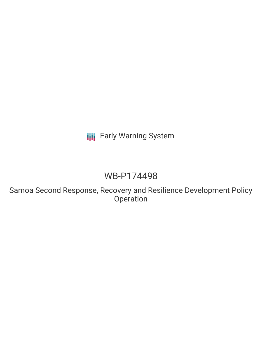# **III** Early Warning System

# WB-P174498

Samoa Second Response, Recovery and Resilience Development Policy Operation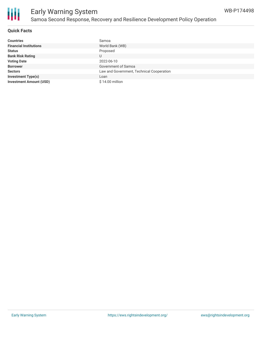

### **Quick Facts**

| <b>Countries</b>               | Samoa                                     |
|--------------------------------|-------------------------------------------|
| <b>Financial Institutions</b>  | World Bank (WB)                           |
| <b>Status</b>                  | Proposed                                  |
| <b>Bank Risk Rating</b>        | U                                         |
| <b>Voting Date</b>             | 2022-06-10                                |
| <b>Borrower</b>                | Government of Samoa                       |
| <b>Sectors</b>                 | Law and Government, Technical Cooperation |
| <b>Investment Type(s)</b>      | Loan                                      |
| <b>Investment Amount (USD)</b> | \$14.00 million                           |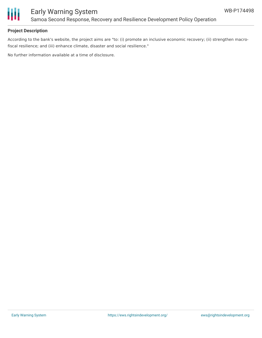

## **Project Description**

According to the bank's website, the project aims are "to: (i) promote an inclusive economic recovery; (ii) strengthen macrofiscal resilience; and (iii) enhance climate, disaster and social resilience."

No further information available at a time of disclosure.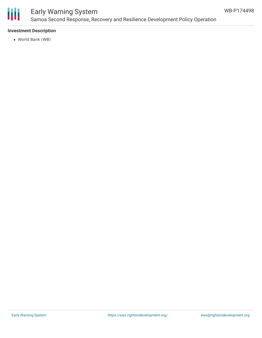

## Early Warning System Samoa Second Response, Recovery and Resilience Development Policy Operation

## **Investment Description**

World Bank (WB)